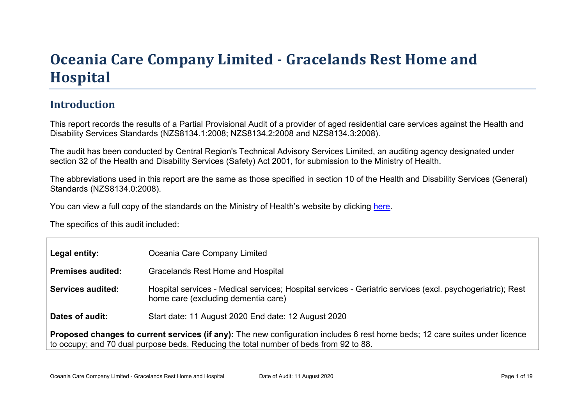# Oceania Car e Company Limited - Gr acelands Rest Home and **Hospital**

### Introduction

This report records the results of a Partial Provisional Audit of a provider of aged residential care services against the Health and Disability Services Standards (NZS8134.1:2008; NZS8134.2:2008 and NZS8134.3:2008).

The audit has been conducted by Central Region's Technical Advisory Services Limited, an auditing agency designated under section 32 of the Health and Disability Services (Safety) Act 2001, for submission to the Ministry of Health.

The abbreviations used in this report are the same as those specified in section 10 of the Health and Disability Services (General) Standards (NZS8134.0:2008).

You can view a full copy of the standards on the Ministry of Health's website by clicking [here.](http://www.health.govt.nz/our-work/regulation-health-and-disability-system/certification-health-care-services/health-and-disability-services-standards)

The specifics of this audit included:

| Legal entity:                                                                                                                                                                                                            | Oceania Care Company Limited                                                                                                                      |  |  |
|--------------------------------------------------------------------------------------------------------------------------------------------------------------------------------------------------------------------------|---------------------------------------------------------------------------------------------------------------------------------------------------|--|--|
| Premises audited:                                                                                                                                                                                                        | Gracelands Rest Home and Hospital                                                                                                                 |  |  |
| Services audited:                                                                                                                                                                                                        | Hospital services - Medical services; Hospital services - Geriatric services (excl. psychogeriatric); Rest<br>home care (excluding dementia care) |  |  |
| Dates of audit:                                                                                                                                                                                                          | Start date: 11 August 2020 End date: 12 August 2020                                                                                               |  |  |
| services (if any): The new configuration includes 6 rest home beds; 12 care suites under licence<br>Proposed changes to current<br>to occupy; and 70 dual purpose beds. Reducing the total number of beds from 92 to 88. |                                                                                                                                                   |  |  |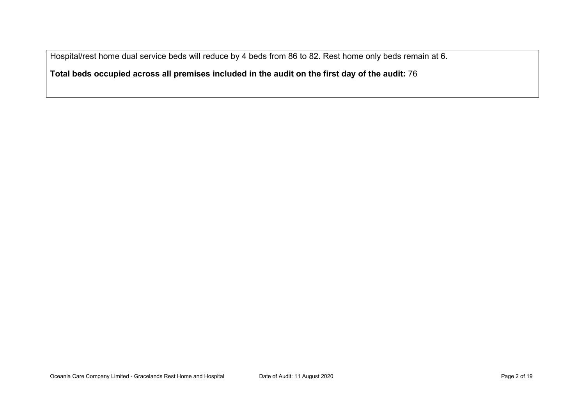Hospital/rest home dual service beds will reduce by 4 beds from 86 to 82. Rest home only beds remain at 6.

**Total beds occupied across all premises included in the audit on the first day of the audit:** 76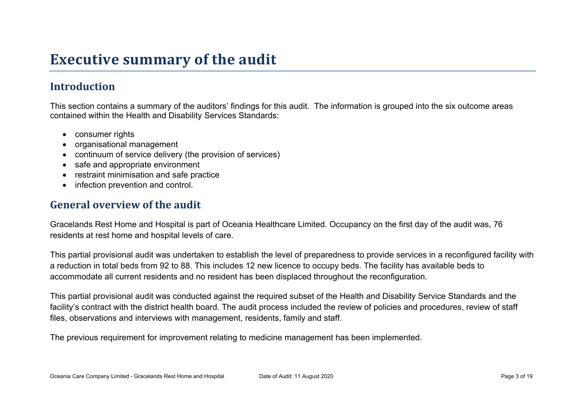# **Executive summary of the audit**

## **Introduction**

This section contains a summary of the auditors' findings for this audit. The information is grouped into the six outcome areas contained within the Health and Disability Services Standards:

- consumer rights
- organisational management
- continuum of service delivery (the provision of services)
- safe and appropriate environment
- restraint minimisation and safe practice
- infection prevention and control.

#### **General overview of the audit**

Gracelands Rest Home and Hospital is part of Oceania Healthcare Limited. Occupancy on the first day of the audit was, 76 residents at rest home and hospital levels of care.

This partial provisional audit was undertaken to establish the level of preparedness to provide services in a reconfigured facility with a reduction in total beds from 92 to 88. This includes 12 new licence to occupy beds. The facility has available beds to accommodate all current residents and no resident has been displaced throughout the reconfiguration.

This partial provisional audit was conducted against the required subset of the Health and Disability Service Standards and the facility's contract with the district health board. The audit process included the review of policies and procedures, review of staff files, observations and interviews with management, residents, family and staff.

The previous requirement for improvement relating to medicine management has been implemented.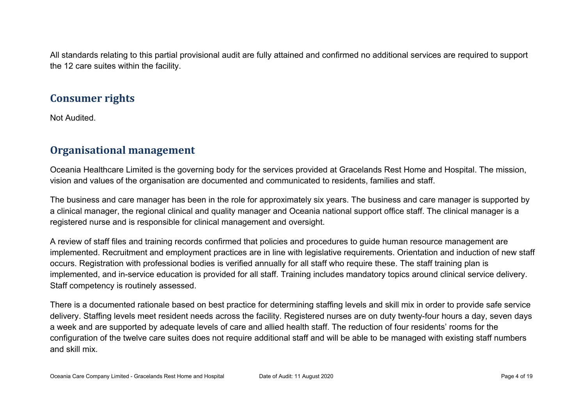All standards relating to this partial provisional audit are fully attained and confirmed no additional services are required to support the 12 care suites within the facility.

#### **Consumer rights**

Not Audited.

### **Organisational management**

Oceania Healthcare Limited is the governing body for the services provided at Gracelands Rest Home and Hospital. The mission, vision and values of the organisation are documented and communicated to residents, families and staff.

The business and care manager has been in the role for approximately six years. The business and care manager is supported by a clinical manager, the regional clinical and quality manager and Oceania national support office staff. The clinical manager is a registered nurse and is responsible for clinical management and oversight.

A review of staff files and training records confirmed that policies and procedures to guide human resource management are implemented. Recruitment and employment practices are in line with legislative requirements. Orientation and induction of new staff occurs. Registration with professional bodies is verified annually for all staff who require these. The staff training plan is implemented, and in-service education is provided for all staff. Training includes mandatory topics around clinical service delivery. Staff competency is routinely assessed.

There is a documented rationale based on best practice for determining staffing levels and skill mix in order to provide safe service delivery. Staffing levels meet resident needs across the facility. Registered nurses are on duty twenty-four hours a day, seven days a week and are supported by adequate levels of care and allied health staff. The reduction of four residents' rooms for the configuration of the twelve care suites does not require additional staff and will be able to be managed with existing staff numbers and skill mix.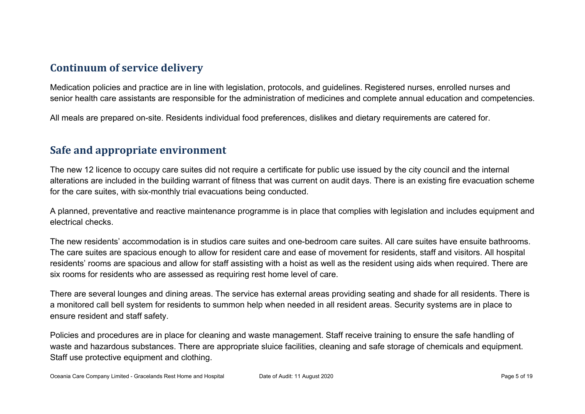### **Continuum of service delivery**

Medication policies and practice are in line with legislation, protocols, and guidelines. Registered nurses, enrolled nurses and senior health care assistants are responsible for the administration of medicines and complete annual education and competencies.

All meals are prepared on-site. Residents individual food preferences, dislikes and dietary requirements are catered for.

#### **Safe and appropriate environment**

The new 12 licence to occupy care suites did not require a certificate for public use issued by the city council and the internal alterations are included in the building warrant of fitness that was current on audit days. There is an existing fire evacuation scheme for the care suites, with six-monthly trial evacuations being conducted.

A planned, preventative and reactive maintenance programme is in place that complies with legislation and includes equipment and electrical checks.

The new residents' accommodation is in studios care suites and one-bedroom care suites. All care suites have ensuite bathrooms. The care suites are spacious enough to allow for resident care and ease of movement for residents, staff and visitors. All hospital residents' rooms are spacious and allow for staff assisting with a hoist as well as the resident using aids when required. There are six rooms for residents who are assessed as requiring rest home level of care.

There are several lounges and dining areas. The service has external areas providing seating and shade for all residents. There is a monitored call bell system for residents to summon help when needed in all resident areas. Security systems are in place to ensure resident and staff safety.

Policies and procedures are in place for cleaning and waste management. Staff receive training to ensure the safe handling of waste and hazardous substances. There are appropriate sluice facilities, cleaning and safe storage of chemicals and equipment. Staff use protective equipment and clothing.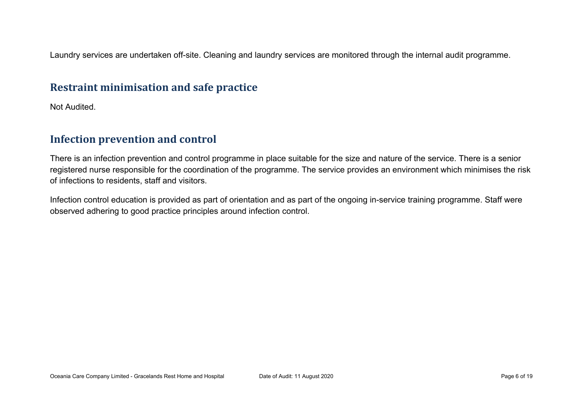Laundry services are undertaken off-site. Cleaning and laundry services are monitored through the internal audit programme.

#### **Restraint minimisation and safe practice**

Not Audited.

## **Infection prevention and control**

There is an infection prevention and control programme in place suitable for the size and nature of the service. There is a senior registered nurse responsible for the coordination of the programme. The service provides an environment which minimises the risk of infections to residents, staff and visitors.

Infection control education is provided as part of orientation and as part of the ongoing in-service training programme. Staff were observed adhering to good practice principles around infection control.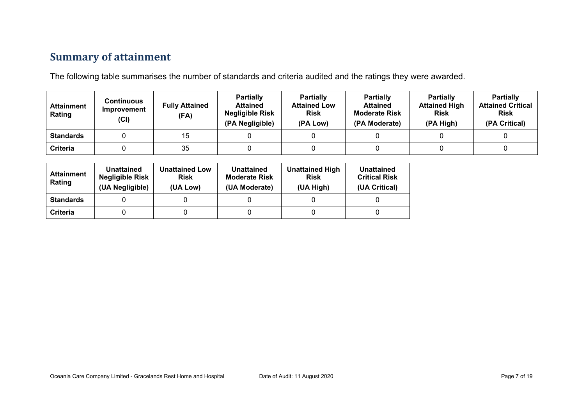# **Summary of attainment**

The following table summarises the number of standards and criteria audited and the ratings they were awarded.

| <b>Attainment</b><br>Rating | Continuous<br>Improvement<br>(CI) | <b>Fully Attained</b><br>(FA) | Partially<br><b>Attained</b><br><b>Negligible Risk</b><br>(PA Negligible) | <b>Partially</b><br><b>Attained Low</b><br><b>Risk</b><br>(PA Low) | <b>Partially</b><br><b>Attained</b><br><b>Moderate Risk</b><br>(PA Moderate) | <b>Partially</b><br><b>Attained High</b><br><b>Risk</b><br>(PA High) | <b>Partially</b><br><b>Attained Critical</b><br><b>Risk</b><br>(PA Critical) |
|-----------------------------|-----------------------------------|-------------------------------|---------------------------------------------------------------------------|--------------------------------------------------------------------|------------------------------------------------------------------------------|----------------------------------------------------------------------|------------------------------------------------------------------------------|
| <b>Standards</b>            |                                   | 15                            |                                                                           |                                                                    |                                                                              |                                                                      |                                                                              |
| <b>Criteria</b>             |                                   | 35                            |                                                                           |                                                                    |                                                                              |                                                                      |                                                                              |

| <b>Attainment</b><br>Rating | Unattained<br><b>Negligible Risk</b><br>(UA Negligible) | <b>Unattained Low</b><br><b>Risk</b><br>(UA Low) | Unattained<br><b>Moderate Risk</b><br>(UA Moderate) | <b>Unattained High</b><br><b>Risk</b><br>(UA High) | Unattained<br><b>Critical Risk</b><br>(UA Critical) |
|-----------------------------|---------------------------------------------------------|--------------------------------------------------|-----------------------------------------------------|----------------------------------------------------|-----------------------------------------------------|
| <b>Standards</b>            |                                                         |                                                  |                                                     |                                                    |                                                     |
| Criteria                    |                                                         |                                                  |                                                     |                                                    |                                                     |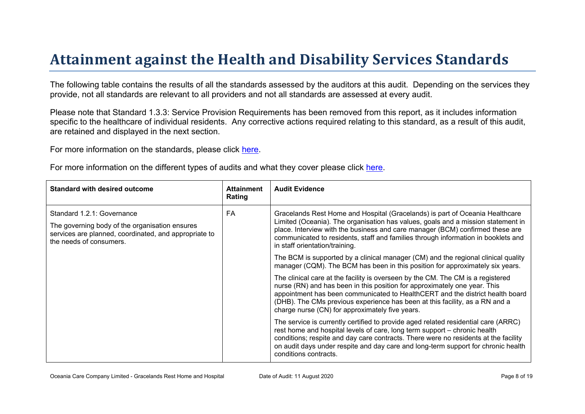# Attainment against the Health and Disability Ser vices Standar ds

The following table contains the results of all the standards assessed by the auditors at this audit. Depending on the services they provide, not all standards are relevant to all providers and not all standards are assessed at every audit.

Please note that Standard 1.3.3: Service Provision Requirements has been removed from this report, as it includes information specific to the healthcare of individual residents. Any corrective actions required relating to this standard, as a result of this audit. are retained and displayed in the next section.

For more information on the standards, please click [here](http://www.health.govt.nz/our-work/regulation-health-and-disability-system/certification-health-care-services/health-and-disability-services-standards).

For more information on the different types of audits and what they cover please click [here.](http://www.health.govt.nz/your-health/services-and-support/health-care-services/services-older-people/rest-home-certification-and-audits)

| Standard with desired outcome                                                                                                                                    | Attainment<br>Rating | <b>Audit Evidence</b>                                                                                                                                                                                                                                                                                                                                                           |
|------------------------------------------------------------------------------------------------------------------------------------------------------------------|----------------------|---------------------------------------------------------------------------------------------------------------------------------------------------------------------------------------------------------------------------------------------------------------------------------------------------------------------------------------------------------------------------------|
| Standard 1.2.1: Governance<br>The governing body of the organisation ensures<br>services are planned, coordinated, and appropriate to<br>the needs of consumers. | FA                   | Gracelands Rest Home and Hospital (Gracelands) is part of Oceania Healthcare<br>Limited (Oceania). The organisation has values, goals and a mission statement in<br>place. Interview with the business and care manager (BCM) confirmed these are<br>communicated to residents, staff and families through information in booklets and<br>in staff orientation/training.        |
|                                                                                                                                                                  |                      | The BCM is supported by a clinical manager (CM) and the regional clinical quality<br>manager (CQM). The BCM has been in this position for approximately six years.                                                                                                                                                                                                              |
|                                                                                                                                                                  |                      | The clinical care at the facility is overseen by the CM. The CM is a registered<br>nurse (RN) and has been in this position for approximately one year. This<br>appointment has been communicated to HealthCERT and the district health board<br>(DHB). The CMs previous experience has been at this facility, as a RN and a<br>charge nurse (CN) for approximately five years. |
|                                                                                                                                                                  |                      | The service is currently certified to provide aged related residential care (ARRC)<br>rest home and hospital levels of care, long term support - chronic health<br>conditions; respite and day care contracts. There were no residents at the facility<br>on audit days under respite and day care and long-term support for chronic health<br>conditions contracts.            |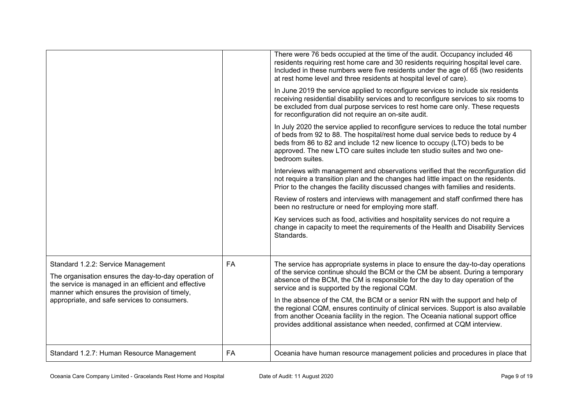|                                                                                                                                                                                                     |           | There were 76 beds occupied at the time of the audit. Occupancy included 46<br>residents requiring rest home care and 30 residents requiring hospital level care.<br>Included in these numbers were five residents under the age of 65 (two residents<br>at rest home level and three residents at hospital level of care).                      |
|-----------------------------------------------------------------------------------------------------------------------------------------------------------------------------------------------------|-----------|--------------------------------------------------------------------------------------------------------------------------------------------------------------------------------------------------------------------------------------------------------------------------------------------------------------------------------------------------|
|                                                                                                                                                                                                     |           | In June 2019 the service applied to reconfigure services to include six residents<br>receiving residential disability services and to reconfigure services to six rooms to<br>be excluded from dual purpose services to rest home care only. These requests<br>for reconfiguration did not require an on-site audit.                             |
|                                                                                                                                                                                                     |           | In July 2020 the service applied to reconfigure services to reduce the total number<br>of beds from 92 to 88. The hospital/rest home dual service beds to reduce by 4<br>beds from 86 to 82 and include 12 new licence to occupy (LTO) beds to be<br>approved. The new LTO care suites include ten studio suites and two one-<br>bedroom suites. |
|                                                                                                                                                                                                     |           | Interviews with management and observations verified that the reconfiguration did<br>not require a transition plan and the changes had little impact on the residents.<br>Prior to the changes the facility discussed changes with families and residents.                                                                                       |
|                                                                                                                                                                                                     |           | Review of rosters and interviews with management and staff confirmed there has<br>been no restructure or need for employing more staff.                                                                                                                                                                                                          |
|                                                                                                                                                                                                     |           | Key services such as food, activities and hospitality services do not require a<br>change in capacity to meet the requirements of the Health and Disability Services<br>Standards.                                                                                                                                                               |
| Standard 1.2.2: Service Management<br>The organisation ensures the day-to-day operation of<br>the service is managed in an efficient and effective<br>manner which ensures the provision of timely, | <b>FA</b> | The service has appropriate systems in place to ensure the day-to-day operations<br>of the service continue should the BCM or the CM be absent. During a temporary<br>absence of the BCM, the CM is responsible for the day to day operation of the<br>service and is supported by the regional CQM.                                             |
| appropriate, and safe services to consumers.                                                                                                                                                        |           | In the absence of the CM, the BCM or a senior RN with the support and help of<br>the regional CQM, ensures continuity of clinical services. Support is also available<br>from another Oceania facility in the region. The Oceania national support office<br>provides additional assistance when needed, confirmed at CQM interview.             |
| Standard 1.2.7: Human Resource Management                                                                                                                                                           | FA        | Oceania have human resource management policies and procedures in place that                                                                                                                                                                                                                                                                     |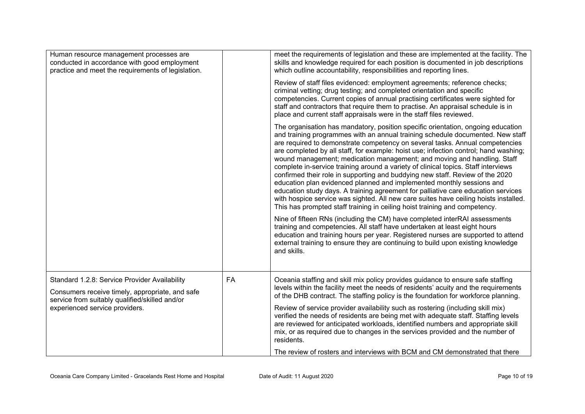| Human resource management processes are<br>conducted in accordance with good employment<br>practice and meet the requirements of legislation.                                        |           | meet the requirements of legislation and these are implemented at the facility. The<br>skills and knowledge required for each position is documented in job descriptions<br>which outline accountability, responsibilities and reporting lines.                                                                                                                                                                                                                                                                                                                                                                                                                                                                                                                                                                                                                                                                                  |
|--------------------------------------------------------------------------------------------------------------------------------------------------------------------------------------|-----------|----------------------------------------------------------------------------------------------------------------------------------------------------------------------------------------------------------------------------------------------------------------------------------------------------------------------------------------------------------------------------------------------------------------------------------------------------------------------------------------------------------------------------------------------------------------------------------------------------------------------------------------------------------------------------------------------------------------------------------------------------------------------------------------------------------------------------------------------------------------------------------------------------------------------------------|
|                                                                                                                                                                                      |           | Review of staff files evidenced: employment agreements; reference checks;<br>criminal vetting; drug testing; and completed orientation and specific<br>competencies. Current copies of annual practising certificates were sighted for<br>staff and contractors that require them to practise. An appraisal schedule is in<br>place and current staff appraisals were in the staff files reviewed.                                                                                                                                                                                                                                                                                                                                                                                                                                                                                                                               |
|                                                                                                                                                                                      |           | The organisation has mandatory, position specific orientation, ongoing education<br>and training programmes with an annual training schedule documented. New staff<br>are required to demonstrate competency on several tasks. Annual competencies<br>are completed by all staff, for example: hoist use; infection control; hand washing;<br>wound management; medication management; and moving and handling. Staff<br>complete in-service training around a variety of clinical topics. Staff interviews<br>confirmed their role in supporting and buddying new staff. Review of the 2020<br>education plan evidenced planned and implemented monthly sessions and<br>education study days. A training agreement for palliative care education services<br>with hospice service was sighted. All new care suites have ceiling hoists installed.<br>This has prompted staff training in ceiling hoist training and competency. |
|                                                                                                                                                                                      |           | Nine of fifteen RNs (including the CM) have completed interRAI assessments<br>training and competencies. All staff have undertaken at least eight hours<br>education and training hours per year. Registered nurses are supported to attend<br>external training to ensure they are continuing to build upon existing knowledge<br>and skills.                                                                                                                                                                                                                                                                                                                                                                                                                                                                                                                                                                                   |
| Standard 1.2.8: Service Provider Availability<br>Consumers receive timely, appropriate, and safe<br>service from suitably qualified/skilled and/or<br>experienced service providers. | <b>FA</b> | Oceania staffing and skill mix policy provides guidance to ensure safe staffing<br>levels within the facility meet the needs of residents' acuity and the requirements<br>of the DHB contract. The staffing policy is the foundation for workforce planning.<br>Review of service provider availability such as rostering (including skill mix)<br>verified the needs of residents are being met with adequate staff. Staffing levels<br>are reviewed for anticipated workloads, identified numbers and appropriate skill<br>mix, or as required due to changes in the services provided and the number of<br>residents.<br>The review of rosters and interviews with BCM and CM demonstrated that there                                                                                                                                                                                                                         |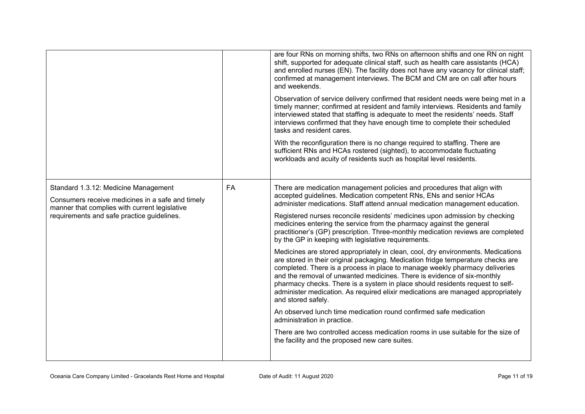|                                                                                                                                                                                         |    | are four RNs on morning shifts, two RNs on afternoon shifts and one RN on night<br>shift, supported for adequate clinical staff, such as health care assistants (HCA)<br>and enrolled nurses (EN). The facility does not have any vacancy for clinical staff;<br>confirmed at management interviews. The BCM and CM are on call after hours<br>and weekends.<br>Observation of service delivery confirmed that resident needs were being met in a<br>timely manner; confirmed at resident and family interviews. Residents and family<br>interviewed stated that staffing is adequate to meet the residents' needs. Staff<br>interviews confirmed that they have enough time to complete their scheduled<br>tasks and resident cares.<br>With the reconfiguration there is no change required to staffing. There are<br>sufficient RNs and HCAs rostered (sighted), to accommodate fluctuating<br>workloads and acuity of residents such as hospital level residents.                                                                                                                                                                                                                                                                                                                                 |
|-----------------------------------------------------------------------------------------------------------------------------------------------------------------------------------------|----|-------------------------------------------------------------------------------------------------------------------------------------------------------------------------------------------------------------------------------------------------------------------------------------------------------------------------------------------------------------------------------------------------------------------------------------------------------------------------------------------------------------------------------------------------------------------------------------------------------------------------------------------------------------------------------------------------------------------------------------------------------------------------------------------------------------------------------------------------------------------------------------------------------------------------------------------------------------------------------------------------------------------------------------------------------------------------------------------------------------------------------------------------------------------------------------------------------------------------------------------------------------------------------------------------------|
| Standard 1.3.12: Medicine Management<br>Consumers receive medicines in a safe and timely<br>manner that complies with current legislative<br>requirements and safe practice guidelines. | FA | There are medication management policies and procedures that align with<br>accepted guidelines. Medication competent RNs, ENs and senior HCAs<br>administer medications. Staff attend annual medication management education.<br>Registered nurses reconcile residents' medicines upon admission by checking<br>medicines entering the service from the pharmacy against the general<br>practitioner's (GP) prescription. Three-monthly medication reviews are completed<br>by the GP in keeping with legislative requirements.<br>Medicines are stored appropriately in clean, cool, dry environments. Medications<br>are stored in their original packaging. Medication fridge temperature checks are<br>completed. There is a process in place to manage weekly pharmacy deliveries<br>and the removal of unwanted medicines. There is evidence of six-monthly<br>pharmacy checks. There is a system in place should residents request to self-<br>administer medication. As required elixir medications are managed appropriately<br>and stored safely.<br>An observed lunch time medication round confirmed safe medication<br>administration in practice.<br>There are two controlled access medication rooms in use suitable for the size of<br>the facility and the proposed new care suites. |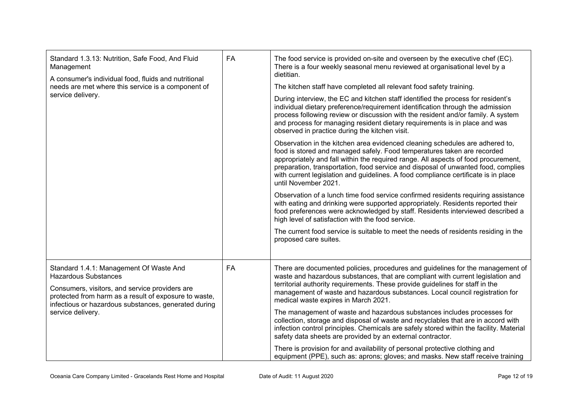| Standard 1.3.13: Nutrition, Safe Food, And Fluid<br>Management<br>A consumer's individual food, fluids and nutritional<br>needs are met where this service is a component of<br>service delivery.                                                              | FA | The food service is provided on-site and overseen by the executive chef (EC).<br>There is a four weekly seasonal menu reviewed at organisational level by a<br>dietitian.<br>The kitchen staff have completed all relevant food safety training.<br>During interview, the EC and kitchen staff identified the process for resident's<br>individual dietary preference/requirement identification through the admission<br>process following review or discussion with the resident and/or family. A system<br>and process for managing resident dietary requirements is in place and was<br>observed in practice during the kitchen visit.<br>Observation in the kitchen area evidenced cleaning schedules are adhered to,<br>food is stored and managed safely. Food temperatures taken are recorded<br>appropriately and fall within the required range. All aspects of food procurement,<br>preparation, transportation, food service and disposal of unwanted food, complies<br>with current legislation and guidelines. A food compliance certificate is in place<br>until November 2021.<br>Observation of a lunch time food service confirmed residents requiring assistance<br>with eating and drinking were supported appropriately. Residents reported their<br>food preferences were acknowledged by staff. Residents interviewed described a<br>high level of satisfaction with the food service.<br>The current food service is suitable to meet the needs of residents residing in the<br>proposed care suites. |
|----------------------------------------------------------------------------------------------------------------------------------------------------------------------------------------------------------------------------------------------------------------|----|-------------------------------------------------------------------------------------------------------------------------------------------------------------------------------------------------------------------------------------------------------------------------------------------------------------------------------------------------------------------------------------------------------------------------------------------------------------------------------------------------------------------------------------------------------------------------------------------------------------------------------------------------------------------------------------------------------------------------------------------------------------------------------------------------------------------------------------------------------------------------------------------------------------------------------------------------------------------------------------------------------------------------------------------------------------------------------------------------------------------------------------------------------------------------------------------------------------------------------------------------------------------------------------------------------------------------------------------------------------------------------------------------------------------------------------------------------------------------------------------------------------------------------|
| Standard 1.4.1: Management Of Waste And<br><b>Hazardous Substances</b><br>Consumers, visitors, and service providers are<br>protected from harm as a result of exposure to waste,<br>infectious or hazardous substances, generated during<br>service delivery. | FA | There are documented policies, procedures and guidelines for the management of<br>waste and hazardous substances, that are compliant with current legislation and<br>territorial authority requirements. These provide guidelines for staff in the<br>management of waste and hazardous substances. Local council registration for<br>medical waste expires in March 2021.<br>The management of waste and hazardous substances includes processes for<br>collection, storage and disposal of waste and recyclables that are in accord with<br>infection control principles. Chemicals are safely stored within the facility. Material<br>safety data sheets are provided by an external contractor.<br>There is provision for and availability of personal protective clothing and<br>equipment (PPE), such as: aprons; gloves; and masks. New staff receive training                                                                                                                                                                                                                                                                                                                                                                                                                                                                                                                                                                                                                                                         |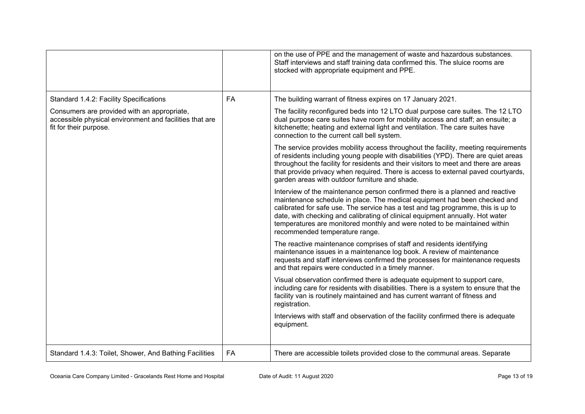|                                                                                                                                  |           | on the use of PPE and the management of waste and hazardous substances.<br>Staff interviews and staff training data confirmed this. The sluice rooms are<br>stocked with appropriate equipment and PPE.                                                                                                                                                                                                                                        |
|----------------------------------------------------------------------------------------------------------------------------------|-----------|------------------------------------------------------------------------------------------------------------------------------------------------------------------------------------------------------------------------------------------------------------------------------------------------------------------------------------------------------------------------------------------------------------------------------------------------|
| Standard 1.4.2: Facility Specifications                                                                                          | <b>FA</b> | The building warrant of fitness expires on 17 January 2021.                                                                                                                                                                                                                                                                                                                                                                                    |
| Consumers are provided with an appropriate,<br>accessible physical environment and facilities that are<br>fit for their purpose. |           | The facility reconfigured beds into 12 LTO dual purpose care suites. The 12 LTO<br>dual purpose care suites have room for mobility access and staff; an ensuite; a<br>kitchenette; heating and external light and ventilation. The care suites have<br>connection to the current call bell system.                                                                                                                                             |
|                                                                                                                                  |           | The service provides mobility access throughout the facility, meeting requirements<br>of residents including young people with disabilities (YPD). There are quiet areas<br>throughout the facility for residents and their visitors to meet and there are areas<br>that provide privacy when required. There is access to external paved courtyards,<br>garden areas with outdoor furniture and shade.                                        |
|                                                                                                                                  |           | Interview of the maintenance person confirmed there is a planned and reactive<br>maintenance schedule in place. The medical equipment had been checked and<br>calibrated for safe use. The service has a test and tag programme, this is up to<br>date, with checking and calibrating of clinical equipment annually. Hot water<br>temperatures are monitored monthly and were noted to be maintained within<br>recommended temperature range. |
|                                                                                                                                  |           | The reactive maintenance comprises of staff and residents identifying<br>maintenance issues in a maintenance log book. A review of maintenance<br>requests and staff interviews confirmed the processes for maintenance requests<br>and that repairs were conducted in a timely manner.                                                                                                                                                        |
|                                                                                                                                  |           | Visual observation confirmed there is adequate equipment to support care,<br>including care for residents with disabilities. There is a system to ensure that the<br>facility van is routinely maintained and has current warrant of fitness and<br>registration.                                                                                                                                                                              |
|                                                                                                                                  |           | Interviews with staff and observation of the facility confirmed there is adequate<br>equipment.                                                                                                                                                                                                                                                                                                                                                |
| Standard 1.4.3: Toilet, Shower, And Bathing Facilities                                                                           | <b>FA</b> | There are accessible toilets provided close to the communal areas. Separate                                                                                                                                                                                                                                                                                                                                                                    |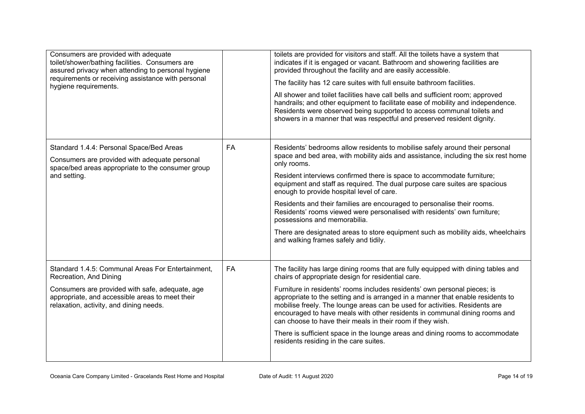| Consumers are provided with adequate<br>toilet/shower/bathing facilities. Consumers are<br>assured privacy when attending to personal hygiene<br>requirements or receiving assistance with personal<br>hygiene requirements. |           | toilets are provided for visitors and staff. All the toilets have a system that<br>indicates if it is engaged or vacant. Bathroom and showering facilities are<br>provided throughout the facility and are easily accessible.<br>The facility has 12 care suites with full ensuite bathroom facilities.<br>All shower and toilet facilities have call bells and sufficient room; approved<br>handrails; and other equipment to facilitate ease of mobility and independence.<br>Residents were observed being supported to access communal toilets and<br>showers in a manner that was respectful and preserved resident dignity.                                                                          |
|------------------------------------------------------------------------------------------------------------------------------------------------------------------------------------------------------------------------------|-----------|------------------------------------------------------------------------------------------------------------------------------------------------------------------------------------------------------------------------------------------------------------------------------------------------------------------------------------------------------------------------------------------------------------------------------------------------------------------------------------------------------------------------------------------------------------------------------------------------------------------------------------------------------------------------------------------------------------|
| Standard 1.4.4: Personal Space/Bed Areas<br>Consumers are provided with adequate personal<br>space/bed areas appropriate to the consumer group<br>and setting.                                                               | FA        | Residents' bedrooms allow residents to mobilise safely around their personal<br>space and bed area, with mobility aids and assistance, including the six rest home<br>only rooms.<br>Resident interviews confirmed there is space to accommodate furniture;<br>equipment and staff as required. The dual purpose care suites are spacious<br>enough to provide hospital level of care.<br>Residents and their families are encouraged to personalise their rooms.<br>Residents' rooms viewed were personalised with residents' own furniture;<br>possessions and memorabilia.<br>There are designated areas to store equipment such as mobility aids, wheelchairs<br>and walking frames safely and tidily. |
| Standard 1.4.5: Communal Areas For Entertainment,<br>Recreation, And Dining<br>Consumers are provided with safe, adequate, age<br>appropriate, and accessible areas to meet their<br>relaxation, activity, and dining needs. | <b>FA</b> | The facility has large dining rooms that are fully equipped with dining tables and<br>chairs of appropriate design for residential care.<br>Furniture in residents' rooms includes residents' own personal pieces; is<br>appropriate to the setting and is arranged in a manner that enable residents to<br>mobilise freely. The lounge areas can be used for activities. Residents are<br>encouraged to have meals with other residents in communal dining rooms and<br>can choose to have their meals in their room if they wish.<br>There is sufficient space in the lounge areas and dining rooms to accommodate<br>residents residing in the care suites.                                             |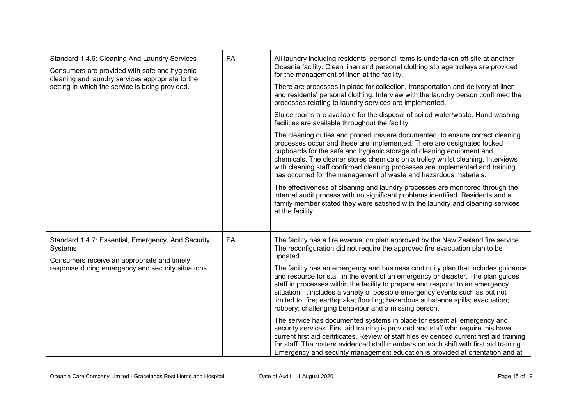| Standard 1.4.6: Cleaning And Laundry Services<br>Consumers are provided with safe and hygienic<br>cleaning and laundry services appropriate to the | FA        | All laundry including residents' personal items is undertaken off-site at another<br>Oceania facility. Clean linen and personal clothing storage trolleys are provided<br>for the management of linen at the facility.                                                                                                                                                                                                                                                             |
|----------------------------------------------------------------------------------------------------------------------------------------------------|-----------|------------------------------------------------------------------------------------------------------------------------------------------------------------------------------------------------------------------------------------------------------------------------------------------------------------------------------------------------------------------------------------------------------------------------------------------------------------------------------------|
| setting in which the service is being provided.                                                                                                    |           | There are processes in place for collection, transportation and delivery of linen<br>and residents' personal clothing. Interview with the laundry person confirmed the<br>processes relating to laundry services are implemented.                                                                                                                                                                                                                                                  |
|                                                                                                                                                    |           | Sluice rooms are available for the disposal of soiled water/waste. Hand washing<br>facilities are available throughout the facility.                                                                                                                                                                                                                                                                                                                                               |
|                                                                                                                                                    |           | The cleaning duties and procedures are documented, to ensure correct cleaning<br>processes occur and these are implemented. There are designated locked<br>cupboards for the safe and hygienic storage of cleaning equipment and<br>chemicals. The cleaner stores chemicals on a trolley whilst cleaning. Interviews<br>with cleaning staff confirmed cleaning processes are implemented and training<br>has occurred for the management of waste and hazardous materials.         |
|                                                                                                                                                    |           | The effectiveness of cleaning and laundry processes are monitored through the<br>internal audit process with no significant problems identified. Residents and a<br>family member stated they were satisfied with the laundry and cleaning services<br>at the facility.                                                                                                                                                                                                            |
| Standard 1.4.7: Essential, Emergency, And Security<br>Systems                                                                                      | <b>FA</b> | The facility has a fire evacuation plan approved by the New Zealand fire service.<br>The reconfiguration did not require the approved fire evacuation plan to be<br>updated.                                                                                                                                                                                                                                                                                                       |
| Consumers receive an appropriate and timely<br>response during emergency and security situations.                                                  |           | The facility has an emergency and business continuity plan that includes guidance<br>and resource for staff in the event of an emergency or disaster. The plan guides<br>staff in processes within the facility to prepare and respond to an emergency<br>situation. It includes a variety of possible emergency events such as but not<br>limited to: fire; earthquake; flooding; hazardous substance spills; evacuation;<br>robbery; challenging behaviour and a missing person. |
|                                                                                                                                                    |           | The service has documented systems in place for essential, emergency and<br>security services. First aid training is provided and staff who require this have<br>current first aid certificates. Review of staff files evidenced current first aid training<br>for staff. The rosters evidenced staff members on each shift with first aid training.<br>Emergency and security management education is provided at orientation and at                                              |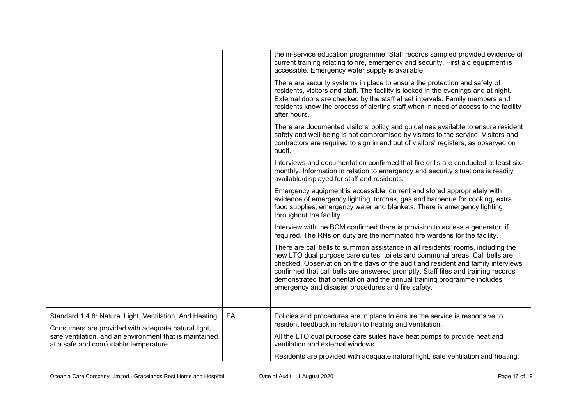|                                                                                                                |    | the in-service education programme. Staff records sampled provided evidence of<br>current training relating to fire, emergency and security. First aid equipment is<br>accessible. Emergency water supply is available.                                                                                                                                                                                                                                                     |
|----------------------------------------------------------------------------------------------------------------|----|-----------------------------------------------------------------------------------------------------------------------------------------------------------------------------------------------------------------------------------------------------------------------------------------------------------------------------------------------------------------------------------------------------------------------------------------------------------------------------|
|                                                                                                                |    | There are security systems in place to ensure the protection and safety of<br>residents, visitors and staff. The facility is locked in the evenings and at night.<br>External doors are checked by the staff at set intervals. Family members and<br>residents know the process of alerting staff when in need of access to the facility<br>after hours.                                                                                                                    |
|                                                                                                                |    | There are documented visitors' policy and guidelines available to ensure resident<br>safety and well-being is not compromised by visitors to the service. Visitors and<br>contractors are required to sign in and out of visitors' registers, as observed on<br>audit.                                                                                                                                                                                                      |
|                                                                                                                |    | Interviews and documentation confirmed that fire drills are conducted at least six-<br>monthly. Information in relation to emergency and security situations is readily<br>available/displayed for staff and residents.                                                                                                                                                                                                                                                     |
|                                                                                                                |    | Emergency equipment is accessible, current and stored appropriately with<br>evidence of emergency lighting, torches, gas and barbeque for cooking, extra<br>food supplies, emergency water and blankets. There is emergency lighting<br>throughout the facility.                                                                                                                                                                                                            |
|                                                                                                                |    | Interview with the BCM confirmed there is provision to access a generator, if<br>required. The RNs on duty are the nominated fire wardens for the facility.                                                                                                                                                                                                                                                                                                                 |
|                                                                                                                |    | There are call bells to summon assistance in all residents' rooms, including the<br>new LTO dual purpose care suites, toilets and communal areas. Call bells are<br>checked. Observation on the days of the audit and resident and family interviews<br>confirmed that call bells are answered promptly. Staff files and training records<br>demonstrated that orientation and the annual training programme includes<br>emergency and disaster procedures and fire safety. |
| Standard 1.4.8: Natural Light, Ventilation, And Heating<br>Consumers are provided with adequate natural light, | FA | Policies and procedures are in place to ensure the service is responsive to<br>resident feedback in relation to heating and ventilation.                                                                                                                                                                                                                                                                                                                                    |
| safe ventilation, and an environment that is maintained<br>at a safe and comfortable temperature.              |    | All the LTO dual purpose care suites have heat pumps to provide heat and<br>ventilation and external windows.                                                                                                                                                                                                                                                                                                                                                               |
|                                                                                                                |    | Residents are provided with adequate natural light, safe ventilation and heating.                                                                                                                                                                                                                                                                                                                                                                                           |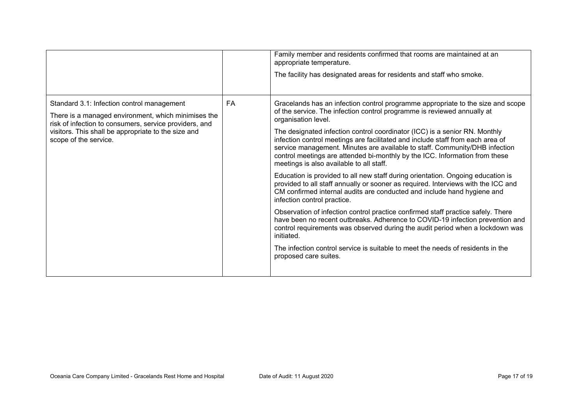|                                                                                                                                                                                                                                             |    | Family member and residents confirmed that rooms are maintained at an<br>appropriate temperature.<br>The facility has designated areas for residents and staff who smoke.                                                                                                                                                                                                                                                                                                                                                                                                                                                                                                                                                                                                                                                                                                                                                                                                                                                                                                                                                                                                                                                     |
|---------------------------------------------------------------------------------------------------------------------------------------------------------------------------------------------------------------------------------------------|----|-------------------------------------------------------------------------------------------------------------------------------------------------------------------------------------------------------------------------------------------------------------------------------------------------------------------------------------------------------------------------------------------------------------------------------------------------------------------------------------------------------------------------------------------------------------------------------------------------------------------------------------------------------------------------------------------------------------------------------------------------------------------------------------------------------------------------------------------------------------------------------------------------------------------------------------------------------------------------------------------------------------------------------------------------------------------------------------------------------------------------------------------------------------------------------------------------------------------------------|
| Standard 3.1: Infection control management<br>There is a managed environment, which minimises the<br>risk of infection to consumers, service providers, and<br>visitors. This shall be appropriate to the size and<br>scope of the service. | FA | Gracelands has an infection control programme appropriate to the size and scope<br>of the service. The infection control programme is reviewed annually at<br>organisation level.<br>The designated infection control coordinator (ICC) is a senior RN. Monthly<br>infection control meetings are facilitated and include staff from each area of<br>service management. Minutes are available to staff. Community/DHB infection<br>control meetings are attended bi-monthly by the ICC. Information from these<br>meetings is also available to all staff.<br>Education is provided to all new staff during orientation. Ongoing education is<br>provided to all staff annually or sooner as required. Interviews with the ICC and<br>CM confirmed internal audits are conducted and include hand hygiene and<br>infection control practice.<br>Observation of infection control practice confirmed staff practice safely. There<br>have been no recent outbreaks. Adherence to COVID-19 infection prevention and<br>control requirements was observed during the audit period when a lockdown was<br>initiated.<br>The infection control service is suitable to meet the needs of residents in the<br>proposed care suites. |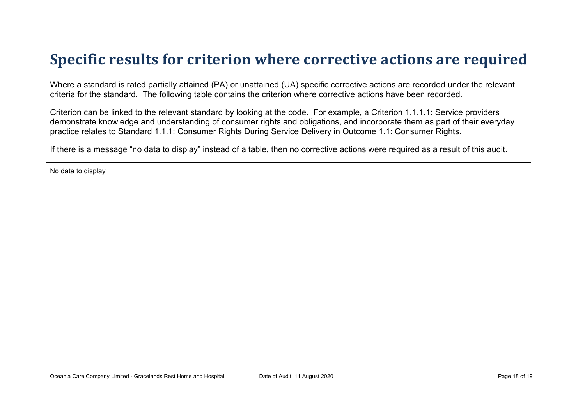# **Specific results for criterion where corrective actions are required**

Where a standard is rated partially attained (PA) or unattained (UA) specific corrective actions are recorded under the relevant criteria for the standard. The following table contains the criterion where corrective actions have been recorded.

Criterion can be linked to the relevant standard by looking at the code. For example, a Criterion 1.1.1.1: Service providers demonstrate knowledge and understanding of consumer rights and obligations, and incorporate them as part of their everyday practice relates to Standard 1.1.1: Consumer Rights During Service Delivery in Outcome 1.1: Consumer Rights.

If there is a message "no data to display" instead of a table, then no corrective actions were required as a result of this audit.

No data to display